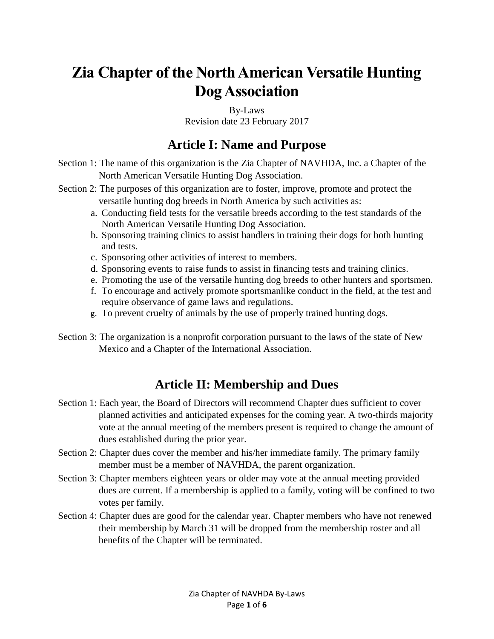# **Zia Chapter of the North American Versatile Hunting Dog Association**

By-Laws Revision date 23 February 2017

### **Article I: Name and Purpose**

Section 1: The name of this organization is the Zia Chapter of NAVHDA, Inc. a Chapter of the North American Versatile Hunting Dog Association.

- Section 2: The purposes of this organization are to foster, improve, promote and protect the versatile hunting dog breeds in North America by such activities as:
	- a. Conducting field tests for the versatile breeds according to the test standards of the North American Versatile Hunting Dog Association.
	- b. Sponsoring training clinics to assist handlers in training their dogs for both hunting and tests.
	- c. Sponsoring other activities of interest to members.
	- d. Sponsoring events to raise funds to assist in financing tests and training clinics.
	- e. Promoting the use of the versatile hunting dog breeds to other hunters and sportsmen.
	- f. To encourage and actively promote sportsmanlike conduct in the field, at the test and require observance of game laws and regulations.
	- g. To prevent cruelty of animals by the use of properly trained hunting dogs.
- Section 3: The organization is a nonprofit corporation pursuant to the laws of the state of New Mexico and a Chapter of the International Association.

# **Article II: Membership and Dues**

- Section 1: Each year, the Board of Directors will recommend Chapter dues sufficient to cover planned activities and anticipated expenses for the coming year. A two-thirds majority vote at the annual meeting of the members present is required to change the amount of dues established during the prior year.
- Section 2: Chapter dues cover the member and his/her immediate family. The primary family member must be a member of NAVHDA, the parent organization.
- Section 3: Chapter members eighteen years or older may vote at the annual meeting provided dues are current. If a membership is applied to a family, voting will be confined to two votes per family.
- Section 4: Chapter dues are good for the calendar year. Chapter members who have not renewed their membership by March 31 will be dropped from the membership roster and all benefits of the Chapter will be terminated.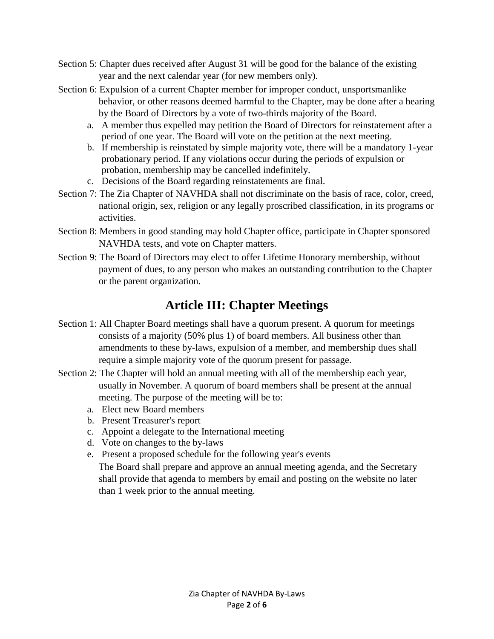- Section 5: Chapter dues received after August 31 will be good for the balance of the existing year and the next calendar year (for new members only).
- Section 6: Expulsion of a current Chapter member for improper conduct, unsportsmanlike behavior, or other reasons deemed harmful to the Chapter, may be done after a hearing by the Board of Directors by a vote of two-thirds majority of the Board.
	- a. A member thus expelled may petition the Board of Directors for reinstatement after a period of one year. The Board will vote on the petition at the next meeting.
	- b. If membership is reinstated by simple majority vote, there will be a mandatory 1-year probationary period. If any violations occur during the periods of expulsion or probation, membership may be cancelled indefinitely.
	- c. Decisions of the Board regarding reinstatements are final.
- Section 7: The Zia Chapter of NAVHDA shall not discriminate on the basis of race, color, creed, national origin, sex, religion or any legally proscribed classification, in its programs or activities.
- Section 8: Members in good standing may hold Chapter office, participate in Chapter sponsored NAVHDA tests, and vote on Chapter matters.
- Section 9: The Board of Directors may elect to offer Lifetime Honorary membership, without payment of dues, to any person who makes an outstanding contribution to the Chapter or the parent organization.

# **Article III: Chapter Meetings**

- Section 1: All Chapter Board meetings shall have a quorum present. A quorum for meetings consists of a majority (50% plus 1) of board members. All business other than amendments to these by-laws, expulsion of a member, and membership dues shall require a simple majority vote of the quorum present for passage.
- Section 2: The Chapter will hold an annual meeting with all of the membership each year, usually in November. A quorum of board members shall be present at the annual meeting. The purpose of the meeting will be to:
	- a. Elect new Board members
	- b. Present Treasurer's report
	- c. Appoint a delegate to the International meeting
	- d. Vote on changes to the by-laws
	- e. Present a proposed schedule for the following year's events

The Board shall prepare and approve an annual meeting agenda, and the Secretary shall provide that agenda to members by email and posting on the website no later than 1 week prior to the annual meeting.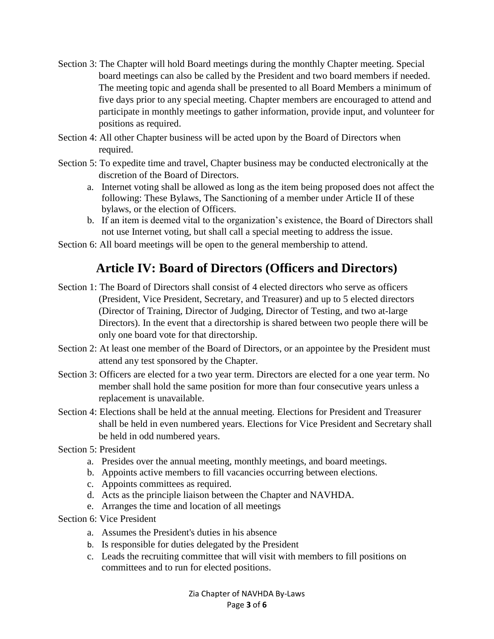- Section 3: The Chapter will hold Board meetings during the monthly Chapter meeting. Special board meetings can also be called by the President and two board members if needed. The meeting topic and agenda shall be presented to all Board Members a minimum of five days prior to any special meeting. Chapter members are encouraged to attend and participate in monthly meetings to gather information, provide input, and volunteer for positions as required.
- Section 4: All other Chapter business will be acted upon by the Board of Directors when required.
- Section 5: To expedite time and travel, Chapter business may be conducted electronically at the discretion of the Board of Directors.
	- a. Internet voting shall be allowed as long as the item being proposed does not affect the following: These Bylaws, The Sanctioning of a member under Article II of these bylaws, or the election of Officers.
	- b. If an item is deemed vital to the organization's existence, the Board of Directors shall not use Internet voting, but shall call a special meeting to address the issue.
- Section 6: All board meetings will be open to the general membership to attend.

### **Article IV: Board of Directors (Officers and Directors)**

- Section 1: The Board of Directors shall consist of 4 elected directors who serve as officers (President, Vice President, Secretary, and Treasurer) and up to 5 elected directors (Director of Training, Director of Judging, Director of Testing, and two at-large Directors). In the event that a directorship is shared between two people there will be only one board vote for that directorship.
- Section 2: At least one member of the Board of Directors, or an appointee by the President must attend any test sponsored by the Chapter.
- Section 3: Officers are elected for a two year term. Directors are elected for a one year term. No member shall hold the same position for more than four consecutive years unless a replacement is unavailable.
- Section 4: Elections shall be held at the annual meeting. Elections for President and Treasurer shall be held in even numbered years. Elections for Vice President and Secretary shall be held in odd numbered years.
- Section 5: President
	- a. Presides over the annual meeting, monthly meetings, and board meetings.
	- b. Appoints active members to fill vacancies occurring between elections.
	- c. Appoints committees as required.
	- d. Acts as the principle liaison between the Chapter and NAVHDA.
	- e. Arranges the time and location of all meetings
- Section 6: Vice President
	- a. Assumes the President's duties in his absence
	- b. Is responsible for duties delegated by the President
	- c. Leads the recruiting committee that will visit with members to fill positions on committees and to run for elected positions.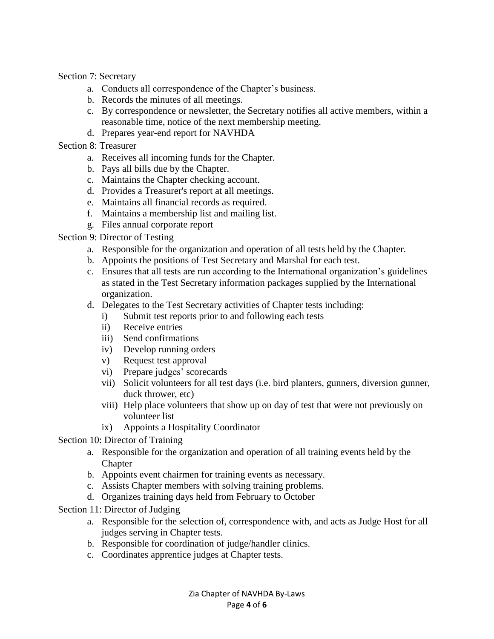Section 7: Secretary

- a. Conducts all correspondence of the Chapter's business.
- b. Records the minutes of all meetings.
- c. By correspondence or newsletter, the Secretary notifies all active members, within a reasonable time, notice of the next membership meeting.
- d. Prepares year-end report for NAVHDA
- Section 8: Treasurer
	- a. Receives all incoming funds for the Chapter.
	- b. Pays all bills due by the Chapter.
	- c. Maintains the Chapter checking account.
	- d. Provides a Treasurer's report at all meetings.
	- e. Maintains all financial records as required.
	- f. Maintains a membership list and mailing list.
	- g. Files annual corporate report

#### Section 9: Director of Testing

- a. Responsible for the organization and operation of all tests held by the Chapter.
- b. Appoints the positions of Test Secretary and Marshal for each test.
- c. Ensures that all tests are run according to the International organization's guidelines as stated in the Test Secretary information packages supplied by the International organization.
- d. Delegates to the Test Secretary activities of Chapter tests including:
	- i) Submit test reports prior to and following each tests
	- ii) Receive entries
	- iii) Send confirmations
	- iv) Develop running orders
	- v) Request test approval
	- vi) Prepare judges' scorecards
	- vii) Solicit volunteers for all test days (i.e. bird planters, gunners, diversion gunner, duck thrower, etc)
	- viii) Help place volunteers that show up on day of test that were not previously on volunteer list
	- ix) Appoints a Hospitality Coordinator
- Section 10: Director of Training
	- a. Responsible for the organization and operation of all training events held by the **Chapter**
	- b. Appoints event chairmen for training events as necessary.
	- c. Assists Chapter members with solving training problems.
	- d. Organizes training days held from February to October
- Section 11: Director of Judging
	- a. Responsible for the selection of, correspondence with, and acts as Judge Host for all judges serving in Chapter tests.
	- b. Responsible for coordination of judge/handler clinics.
	- c. Coordinates apprentice judges at Chapter tests.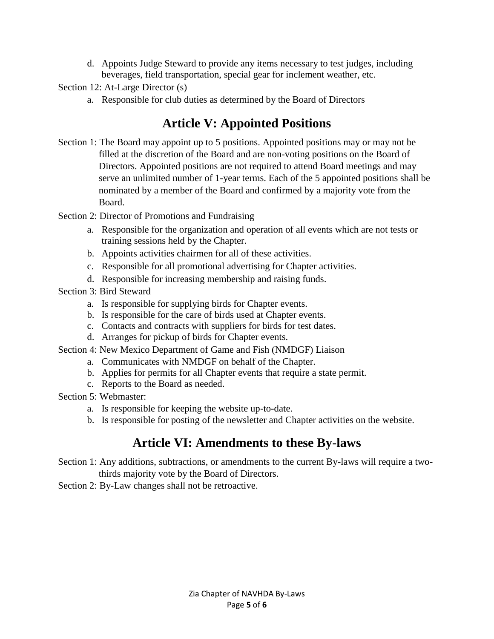d. Appoints Judge Steward to provide any items necessary to test judges, including beverages, field transportation, special gear for inclement weather, etc.

#### Section 12: At-Large Director (s)

a. Responsible for club duties as determined by the Board of Directors

# **Article V: Appointed Positions**

- Section 1: The Board may appoint up to 5 positions. Appointed positions may or may not be filled at the discretion of the Board and are non-voting positions on the Board of Directors. Appointed positions are not required to attend Board meetings and may serve an unlimited number of 1-year terms. Each of the 5 appointed positions shall be nominated by a member of the Board and confirmed by a majority vote from the Board.
- Section 2: Director of Promotions and Fundraising
	- a. Responsible for the organization and operation of all events which are not tests or training sessions held by the Chapter.
	- b. Appoints activities chairmen for all of these activities.
	- c. Responsible for all promotional advertising for Chapter activities.
	- d. Responsible for increasing membership and raising funds.
- Section 3: Bird Steward
	- a. Is responsible for supplying birds for Chapter events.
	- b. Is responsible for the care of birds used at Chapter events.
	- c. Contacts and contracts with suppliers for birds for test dates.
	- d. Arranges for pickup of birds for Chapter events.
- Section 4: New Mexico Department of Game and Fish (NMDGF) Liaison
	- a. Communicates with NMDGF on behalf of the Chapter.
	- b. Applies for permits for all Chapter events that require a state permit.
	- c. Reports to the Board as needed.
- Section 5: Webmaster:
	- a. Is responsible for keeping the website up-to-date.
	- b. Is responsible for posting of the newsletter and Chapter activities on the website.

# **Article VI: Amendments to these By-laws**

- Section 1: Any additions, subtractions, or amendments to the current By-laws will require a twothirds majority vote by the Board of Directors.
- Section 2: By-Law changes shall not be retroactive.